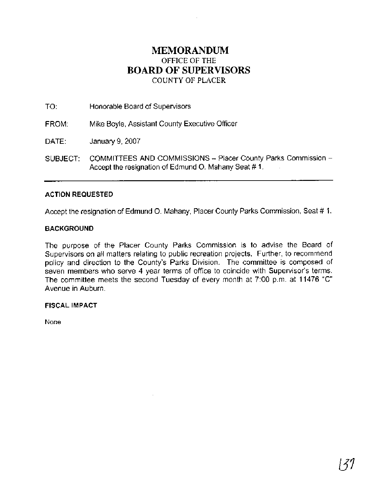## **MEMORANDUM**  OFFICE OF THE **BOARD OF SUPERVISORS**  COUNTY OF PLACER

TO: Honorable Board of Supervisors

FROM: Mike Boyle, Assistant County Executive Officer

DATE: January 9, 2007

SUBJECT: COMMITTEES AND COMMISSIONS -- Placer County Parks Commission --Accept the resignation of Edmund 0. Mahany Seat # 1.

#### **ACTION REQUESTED**

Accept the resignation of Edmund 0. Mahany, Placer County Parks Commission, Seat # 1.

#### **BACKGROUND**

The purpose of the Placer County Parks Commission is to advise the Board of Supervisors on all matters relating to public recreation projects. Further, to recommend policy and direction to the County's Parks Division. The committee is composed of seven members who serve 4 year terms of office to coincide with Supervisor's terms. The committee meets the second Tuesday of every month at 7:00 p.m. at 11476 "C" Avenue in Auburn.

#### **FISCAL IMPACT**

None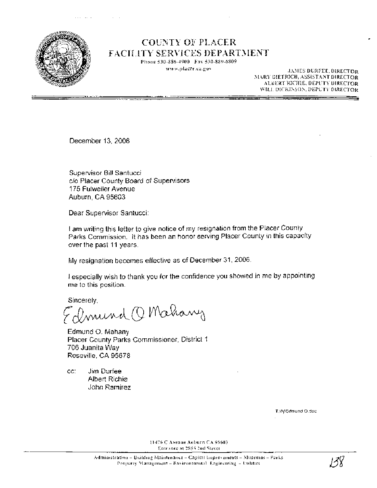

# **COUNTY OF PLACER FACILITY SERVICES DEPARTMENT**

Phone 530-886-4900 Fax 530-889-6809 www.placer.ca.gov

JAMES DURFEE, DIRECTOR MARY DIETRICH, ASSISTANT DIRECTOR ALBERT RICHIE, DEPUTY DIRECTOR WILL DICKINSON, DEPUTY DIRECTOR

<u>an Siraacaan ah</u>

December 13, 2006

Supervisor Bill Santucci c/o Placer County Board of Supervisors 175 Fulweiler Avenue Auburn, CA 95603

Dear Supervisor Santucci:

I am writing this letter to give notice of my resignation from the Placer County Parks Commission. It has been an honor serving Placer County in this capacity over the past 11 years.

My resignation becomes effective as of December 31, 2006.

I especially wish to thank you for the confidence you showed in me by appointing me to this position.

Sincerely,

amund Q Mahany

Edmund O. Mahany Placer County Parks Commissioner, District 1 706 Juanita Wav Roseville, CA 95678

Jim Durfee CC: **Albert Richie** John Ramirez

T. In/Edmund O.doc

11476 C Avenue Auburn CA 9560) Entrance at 2855 2nd Street

135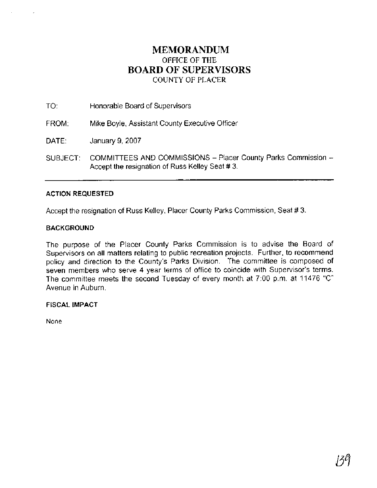## **MEMORANDUM**  OFFICE OF THE **BOARD OF SUPERVISORS**  COUNTY OF PLACER

TO: Honorable Board of Supervisors

FROM: Mike Boyle, Assistant County Executive Officer

DATE: January 9, 2007

SUBJECT: COMMITTEES AND COMMISSIONS - Placer County Parks Commission -Accept the resignation of Russ Kelley Seat # 3.

#### **ACTION REQUESTED**

Accept the resignation of Russ Kelley, Placer County Parks Commission, Seat # 3.

#### **BACKGROUND**

The purpose of the Placer County Parks Commission is to advise the Board of Supervisors on all matters relating to public recreation projects. Further, to recommend policy and direction to the County's Parks Division. The committee is composed of seven members who serve 4 year terms of office to coincide with Supervisor's terms. The committee meets the second Tuesday of every month at 7:00 p.m. at 11476 "C" Avenue in Auburn.

**FISCAL IMPACT** 

None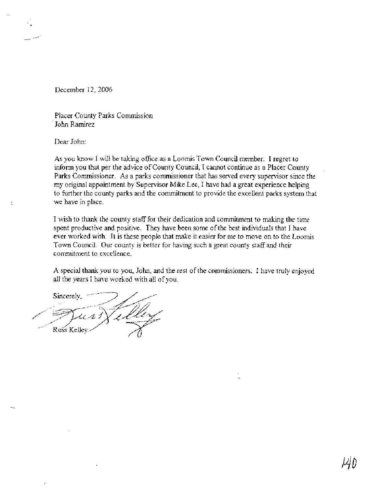December 12,2006

Placer County Parks Commission John Ramirez

Dear John:

Í

As you know I will be taking office as a Loomis Town Council member. I regret to inform you that per the advice of County Council, I cannot continue as a Placer County Parks Commissioner. As a parks commissioner that has served every supervisor since the my original appointment by Supervisor Mike Lee, I have had a great experience helping to hrther the county parks and the commitment to provide the excellent parks system that we have in place.

I wish to thank the county staff for their dedication and commitment to making the time spent productive and positive. They have been some of the best individuals that I have ever worked with. It is these people that make it easier for me to move on to the Loomis Town Council. Our county is better for having such a great county staff and their commitment to excellence.

A special thank you to you, John, and the rest of the commissioners. I have truly enjoyed all the years I have worked with all of you.

Sincerely, Russ Kelley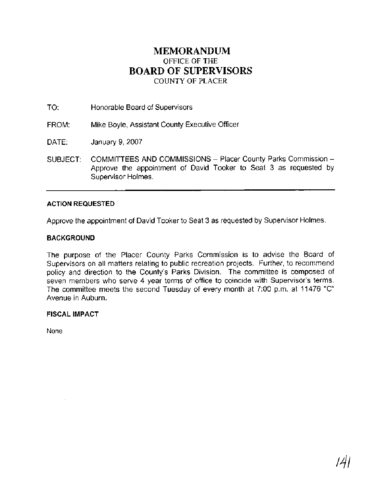## **MEMORANDUM**  OFFICE OF THE **BOARD OF SUPERVISORS**  COUNTY OF PLACER

TO: Honorable Board of Supervisors

FROM: Mike Boyle, Assistant County Executive Officer

DATE: January 9,2007

SUBJECT: COMMITTEES AND COMMISSIONS - Placer County Parks Commission -Approve the appointment of David Tooker to Seat 3 as requested by Supervisor Holmes.

#### **ACTION REQUESTED**

Approve the appointment of David Tooker to Seat 3 as requested by Supervisor Holmes.

#### **BACKGROUND**

The purpose of the Placer County Parks Commission is to advise the Board of Supervisors on all matters relating to public recreation projects. Further, to recommend policy and direction to the County's Parks Division. The committee is composed of seven members who serve 4 year terms of office to coincide with Supervisor's terms. The committee meets the second Tuesday of every month at 7:00 p.m. at 11476 "C" Avenue in Auburn.

**FISCAL IMPACT** 

None